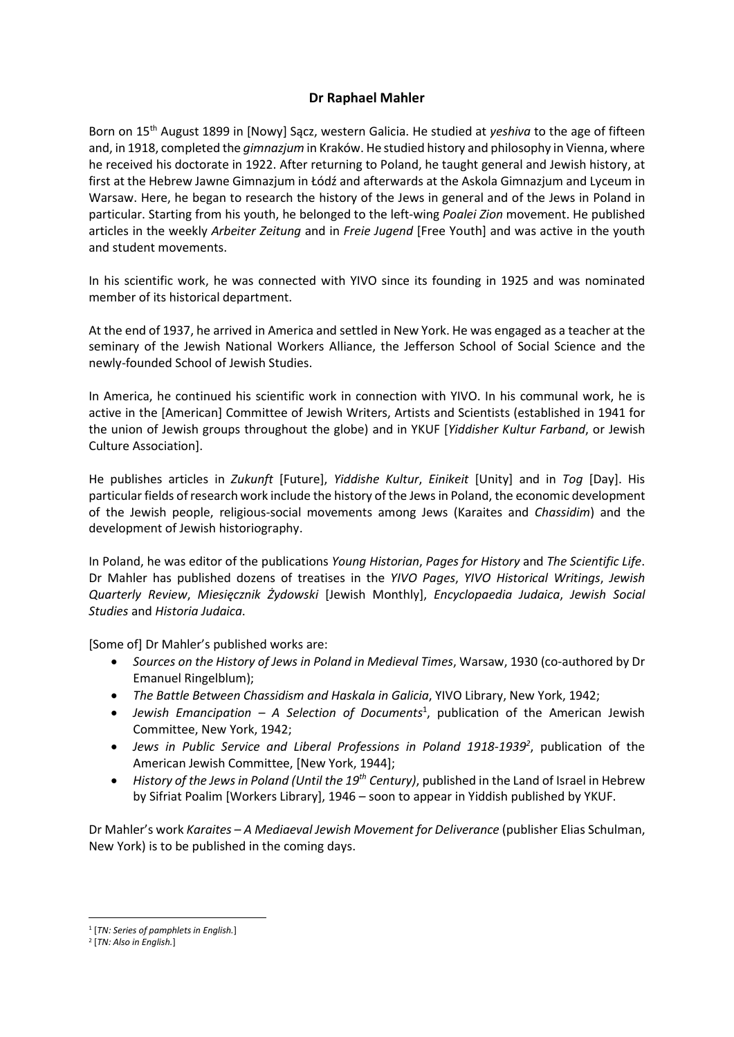## Dr Raphael Mahler

Born on 15<sup>th</sup> August 1899 in [Nowy] Sacz, western Galicia. He studied at *yeshiva* to the age of fifteen and, in 1918, completed the *gimnazium* in Kraków. He studied history and philosophy in Vienna, where he received his doctorate in 1922. After returning to Poland, he taught general and Jewish history, at first at the Hebrew Jawne Gimnazjum in Łódź and afterwards at the Askola Gimnazjum and Lyceum in Warsaw. Here, he began to research the history of the Jews in general and of the Jews in Poland in particular. Starting from his youth, he belonged to the left-wing Poalei Zion movement. He published articles in the weekly Arbeiter Zeitung and in Freie Jugend [Free Youth] and was active in the youth and student movements.

In his scientific work, he was connected with YIVO since its founding in 1925 and was nominated member of its historical department.

At the end of 1937, he arrived in America and settled in New York. He was engaged as a teacher at the seminary of the Jewish National Workers Alliance, the Jefferson School of Social Science and the newly-founded School of Jewish Studies.

In America, he continued his scientific work in connection with YIVO. In his communal work, he is active in the [American] Committee of Jewish Writers, Artists and Scientists (established in 1941 for the union of Jewish groups throughout the globe) and in YKUF [Yiddisher Kultur Farband, or Jewish Culture Association].

He publishes articles in Zukunft [Future], Yiddishe Kultur, Einikeit [Unity] and in Tog [Day]. His particular fields of research work include the history of the Jews in Poland, the economic development of the Jewish people, religious-social movements among Jews (Karaites and Chassidim) and the development of Jewish historiography.

In Poland, he was editor of the publications Young Historian, Pages for History and The Scientific Life. Dr Mahler has published dozens of treatises in the YIVO Pages, YIVO Historical Writings, Jewish Quarterly Review, Miesięcznik Żydowski [Jewish Monthly], Encyclopaedia Judaica, Jewish Social Studies and Historia Judaica.

[Some of] Dr Mahler's published works are:

- Sources on the History of Jews in Poland in Medieval Times, Warsaw, 1930 (co-authored by Dr Emanuel Ringelblum);
- The Battle Between Chassidism and Haskala in Galicia, YIVO Library, New York, 1942;
- Jewish Emancipation  $-$  A Selection of Documents<sup>1</sup>, publication of the American Jewish Committee, New York, 1942;
- Jews in Public Service and Liberal Professions in Poland 1918-1939<sup>2</sup>, publication of the American Jewish Committee, [New York, 1944];
- History of the Jews in Poland (Until the  $19<sup>th</sup>$  Century), published in the Land of Israel in Hebrew by Sifriat Poalim [Workers Library], 1946 – soon to appear in Yiddish published by YKUF.

Dr Mahler's work Karaites – A Mediaeval Jewish Movement for Deliverance (publisher Elias Schulman, New York) is to be published in the coming days.

<sup>&</sup>lt;sup>1</sup> [TN: Series of pamphlets in English.]

<sup>&</sup>lt;sup>2</sup> [TN: Also in English.]